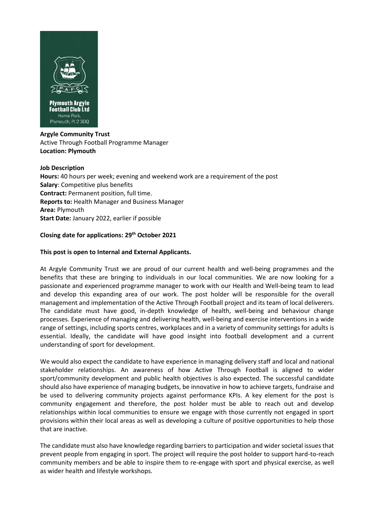

## **Argyle Community Trust** Active Through Football Programme Manager **Location: Plymouth**

### **Job Description**

**Hours:** 40 hours per week; evening and weekend work are a requirement of the post **Salary**: Competitive plus benefits **Contract:** Permanent position, full time. **Reports to:** Health Manager and Business Manager **Area:** Plymouth **Start Date:** January 2022, earlier if possible

## **Closing date for applications: 29th October 2021**

## **This post is open to Internal and External Applicants.**

At Argyle Community Trust we are proud of our current health and well-being programmes and the benefits that these are bringing to individuals in our local communities. We are now looking for a passionate and experienced programme manager to work with our Health and Well-being team to lead and develop this expanding area of our work. The post holder will be responsible for the overall management and implementation of the Active Through Football project and its team of local deliverers. The candidate must have good, in-depth knowledge of health, well-being and behaviour change processes. Experience of managing and delivering health, well-being and exercise interventions in a wide range of settings, including sports centres, workplaces and in a variety of community settings for adults is essential. Ideally, the candidate will have good insight into football development and a current understanding of sport for development.

We would also expect the candidate to have experience in managing delivery staff and local and national stakeholder relationships. An awareness of how Active Through Football is aligned to wider sport/community development and public health objectives is also expected. The successful candidate should also have experience of managing budgets, be innovative in how to achieve targets, fundraise and be used to delivering community projects against performance KPIs. A key element for the post is community engagement and therefore, the post holder must be able to reach out and develop relationships within local communities to ensure we engage with those currently not engaged in sport provisions within their local areas as well as developing a culture of positive opportunities to help those that are inactive.

The candidate must also have knowledge regarding barriers to participation and wider societal issues that prevent people from engaging in sport. The project will require the post holder to support hard-to-reach community members and be able to inspire them to re-engage with sport and physical exercise, as well as wider health and lifestyle workshops.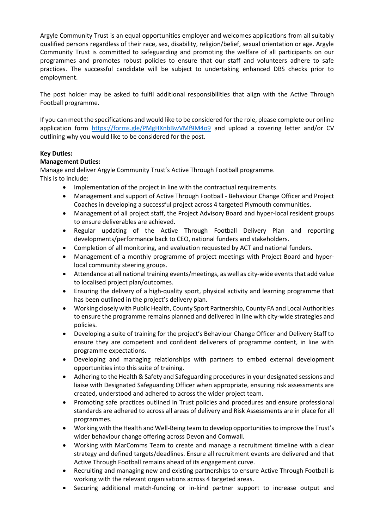Argyle Community Trust is an equal opportunities employer and welcomes applications from all suitably qualified persons regardless of their race, sex, disability, religion/belief, sexual orientation or age. Argyle Community Trust is committed to safeguarding and promoting the welfare of all participants on our programmes and promotes robust policies to ensure that our staff and volunteers adhere to safe practices. The successful candidate will be subject to undertaking enhanced DBS checks prior to employment.

The post holder may be asked to fulfil additional responsibilities that align with the Active Through Football programme.

If you can meet the specifications and would like to be considered for the role, please complete our online application form<https://forms.gle/PMgHXnbBwVMf9M4o9> and upload a covering letter and/or CV outlining why you would like to be considered for the post.

# **Key Duties:**

## **Management Duties:**

Manage and deliver Argyle Community Trust's Active Through Football programme.

This is to include:

- Implementation of the project in line with the contractual requirements.
- Management and support of Active Through Football Behaviour Change Officer and Project Coaches in developing a successful project across 4 targeted Plymouth communities.
- Management of all project staff, the Project Advisory Board and hyper-local resident groups to ensure deliverables are achieved.
- Regular updating of the Active Through Football Delivery Plan and reporting developments/performance back to CEO, national funders and stakeholders.
- Completion of all monitoring, and evaluation requested by ACT and national funders.
- Management of a monthly programme of project meetings with Project Board and hyperlocal community steering groups.
- Attendance at all national training events/meetings, as well as city-wide events that add value to localised project plan/outcomes.
- Ensuring the delivery of a high-quality sport, physical activity and learning programme that has been outlined in the project's delivery plan.
- Working closely with Public Health, County Sport Partnership, County FA and Local Authorities to ensure the programme remains planned and delivered in line with city-wide strategies and policies.
- Developing a suite of training for the project's Behaviour Change Officer and Delivery Staff to ensure they are competent and confident deliverers of programme content, in line with programme expectations.
- Developing and managing relationships with partners to embed external development opportunities into this suite of training.
- Adhering to the Health & Safety and Safeguarding procedures in your designated sessions and liaise with Designated Safeguarding Officer when appropriate, ensuring risk assessments are created, understood and adhered to across the wider project team.
- Promoting safe practices outlined in Trust policies and procedures and ensure professional standards are adhered to across all areas of delivery and Risk Assessments are in place for all programmes.
- Working with the Health and Well-Being team to develop opportunities to improve the Trust's wider behaviour change offering across Devon and Cornwall.
- Working with MarComms Team to create and manage a recruitment timeline with a clear strategy and defined targets/deadlines. Ensure all recruitment events are delivered and that Active Through Football remains ahead of its engagement curve.
- Recruiting and managing new and existing partnerships to ensure Active Through Football is working with the relevant organisations across 4 targeted areas.
- Securing additional match-funding or in-kind partner support to increase output and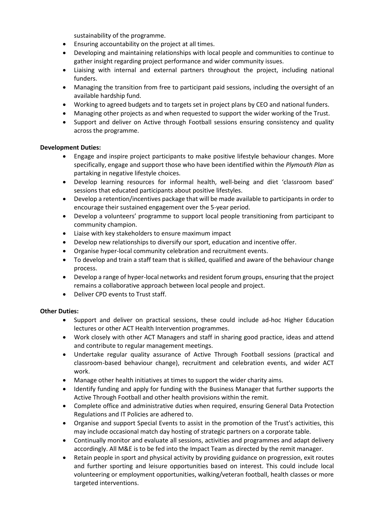sustainability of the programme.

- Ensuring accountability on the project at all times.
- Developing and maintaining relationships with local people and communities to continue to gather insight regarding project performance and wider community issues.
- Liaising with internal and external partners throughout the project, including national funders.
- Managing the transition from free to participant paid sessions, including the oversight of an available hardship fund.
- Working to agreed budgets and to targets set in project plans by CEO and national funders.
- Managing other projects as and when requested to support the wider working of the Trust.
- Support and deliver on Active through Football sessions ensuring consistency and quality across the programme.

## **Development Duties:**

- Engage and inspire project participants to make positive lifestyle behaviour changes. More specifically, engage and support those who have been identified within the *Plymouth Plan* as partaking in negative lifestyle choices.
- Develop learning resources for informal health, well-being and diet 'classroom based' sessions that educated participants about positive lifestyles.
- Develop a retention/incentives package that will be made available to participants in order to encourage their sustained engagement over the 5-year period.
- Develop a volunteers' programme to support local people transitioning from participant to community champion.
- Liaise with key stakeholders to ensure maximum impact
- Develop new relationships to diversify our sport, education and incentive offer.
- Organise hyper-local community celebration and recruitment events.
- To develop and train a staff team that is skilled, qualified and aware of the behaviour change process.
- Develop a range of hyper-local networks and resident forum groups, ensuring that the project remains a collaborative approach between local people and project.
- Deliver CPD events to Trust staff.

### **Other Duties:**

- Support and deliver on practical sessions, these could include ad-hoc Higher Education lectures or other ACT Health Intervention programmes.
- Work closely with other ACT Managers and staff in sharing good practice, ideas and attend and contribute to regular management meetings.
- Undertake regular quality assurance of Active Through Football sessions (practical and classroom-based behaviour change), recruitment and celebration events, and wider ACT work.
- Manage other health initiatives at times to support the wider charity aims.
- Identify funding and apply for funding with the Business Manager that further supports the Active Through Football and other health provisions within the remit.
- Complete office and administrative duties when required, ensuring General Data Protection Regulations and IT Policies are adhered to.
- Organise and support Special Events to assist in the promotion of the Trust's activities, this may include occasional match day hosting of strategic partners on a corporate table.
- Continually monitor and evaluate all sessions, activities and programmes and adapt delivery accordingly. All M&E is to be fed into the Impact Team as directed by the remit manager.
- Retain people in sport and physical activity by providing guidance on progression, exit routes and further sporting and leisure opportunities based on interest. This could include local volunteering or employment opportunities, walking/veteran football, health classes or more targeted interventions.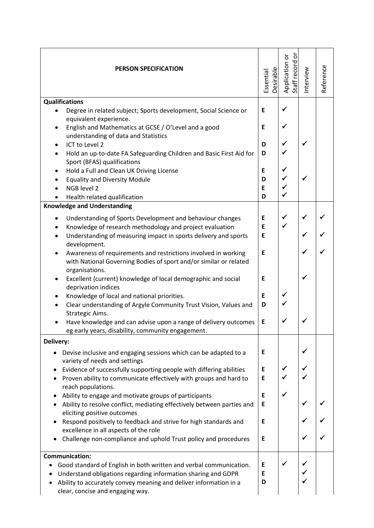| <b>PERSON SPECIFICATION</b>                                                  | <b>Desirable</b><br>Essential | ŏ<br>Application or<br>Staff record or | Interview | Reference |
|------------------------------------------------------------------------------|-------------------------------|----------------------------------------|-----------|-----------|
| <b>Qualifications</b>                                                        |                               |                                        |           |           |
|                                                                              | E                             | ✓                                      |           |           |
| Degree in related subject; Sports development, Social Science or             |                               |                                        |           |           |
| equivalent experience.                                                       |                               |                                        |           |           |
| English and Mathematics at GCSE / O'Level and a good<br>$\bullet$            | E                             | ✓                                      |           |           |
| understanding of data and Statistics                                         |                               |                                        |           |           |
| ICT to Level 2                                                               | D                             |                                        |           |           |
| Hold an up-to-date FA Safeguarding Children and Basic First Aid for          | D                             |                                        |           |           |
|                                                                              |                               |                                        |           |           |
| Sport (BFAS) qualifications                                                  |                               |                                        |           |           |
| Hold a Full and Clean UK Driving License<br>٠                                | E                             | ✓                                      |           |           |
| <b>Equality and Diversity Module</b>                                         | D                             |                                        |           |           |
| NGB level 2                                                                  | E                             |                                        |           |           |
| Health related qualification                                                 | D                             |                                        |           |           |
| <b>Knowledge and Understanding</b>                                           |                               |                                        |           |           |
|                                                                              |                               |                                        |           |           |
| Understanding of Sports Development and behaviour changes<br>$\bullet$       | E                             | ✔                                      |           |           |
| Knowledge of research methodology and project evaluation<br>$\bullet$        | E                             | $\checkmark$                           |           |           |
| Understanding of measuring impact in sports delivery and sports<br>$\bullet$ | E                             |                                        |           |           |
| development.                                                                 |                               |                                        |           |           |
| Awareness of requirements and restrictions involved in working               | E                             |                                        |           |           |
|                                                                              |                               |                                        |           |           |
| with National Governing Bodies of sport and/or similar or related            |                               |                                        |           |           |
| organisations.                                                               |                               |                                        |           |           |
| Excellent (current) knowledge of local demographic and social                | Е                             |                                        |           |           |
| deprivation indices                                                          |                               |                                        |           |           |
| Knowledge of local and national priorities.<br>$\bullet$                     | E                             |                                        |           |           |
| Clear understanding of Argyle Community Trust Vision, Values and             | D                             |                                        |           |           |
| Strategic Aims.                                                              |                               |                                        |           |           |
|                                                                              |                               |                                        |           |           |
| Have knowledge and can advise upon a range of delivery outcomes              | E                             |                                        |           |           |
| eg early years, disability, community engagement.                            |                               |                                        |           |           |
| Delivery:                                                                    |                               |                                        |           |           |
| Devise inclusive and engaging sessions which can be adapted to a             | Е                             |                                        |           |           |
| variety of needs and settings                                                |                               |                                        |           |           |
|                                                                              |                               | ✓                                      | ✓         |           |
| Evidence of successfully supporting people with differing abilities          | Е                             |                                        |           |           |
| Proven ability to communicate effectively with groups and hard to            | E                             |                                        |           |           |
| reach populations.                                                           |                               |                                        |           |           |
| Ability to engage and motivate groups of participants                        | Е                             |                                        |           |           |
| Ability to resolve conflict, mediating effectively between parties and       | E                             |                                        |           |           |
| eliciting positive outcomes                                                  |                               |                                        |           |           |
| Respond positively to feedback and strive for high standards and             | E                             |                                        |           |           |
| excellence in all aspects of the role                                        |                               |                                        |           |           |
|                                                                              |                               |                                        |           |           |
| Challenge non-compliance and uphold Trust policy and procedures              | Е                             |                                        |           |           |
| <b>Communication:</b>                                                        |                               |                                        |           |           |
|                                                                              |                               |                                        |           |           |
| Good standard of English in both written and verbal communication.           | Е                             |                                        |           |           |
| Understand obligations regarding information sharing and GDPR                | E                             |                                        |           |           |
| Ability to accurately convey meaning and deliver information in a            | D                             |                                        |           |           |
| clear, concise and engaging way.                                             |                               |                                        |           |           |